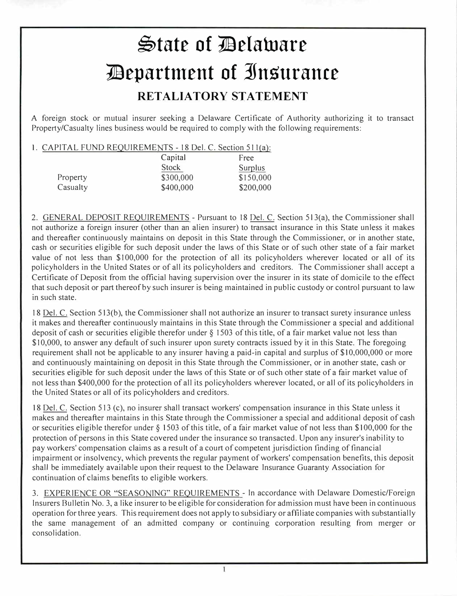## $\bigcirc$ tate of Delaware **1!lepartment of ]nsurance RETALIATORY STATEMENT**

A foreign stock or mutual insurer seeking a Delaware Certificate of Authority authorizing it to transact Property/Casualty lines business would be required to comply with the following requirements:

1. CAPITAL FUND REQUIREMENTS - 18 Del. C. Section 511(a):

|          | Capital   | Free           |
|----------|-----------|----------------|
|          | Stock     | <b>Surplus</b> |
| Property | \$300,000 | \$150,000      |
| Casualty | \$400,000 | \$200,000      |

2. GENERAL DEPOSIT REQUIREMENTS - Pursuant to 18 Del. C. Section 513(a), the Commissioner shall not authorize a foreign insurer (other than an alien insurer) to transact insurance in this State unless it makes and thereafter continuously maintains on deposit in this State through the Commissioner, or in another state, cash or securities eligible for such deposit under the laws of this State or of such other state of a fair market value of not less than \$100,000 for the protection of all its policyholders wherever located or all of its policyholders in the United States or of all its policyholders and creditors. The Commissioner shall accept a Certificate of Deposit from the official having supervision over the insurer in its state of domicile to the effect that such deposit or part thereof by such insurer is being maintained in public custody or control pursuant to law in such state.

18 Del. C. Section 513(b), the Commissioner shall not authorize an insurer to transact surety insurance unless it makes and thereafter continuously maintains in this State through the Commissioner a special and additional deposit of cash or securities eligible therefor under  $\S$  1503 of this title, of a fair market value not less than \$10,000, to answer any default of such insurer upon surety contracts issued by it in this State. The foregoing requirement shall not be applicable to any insurer having a paid-in capital and surplus of \$10,000,000 or more and continuously maintaining on deposit in this State through the Commissioner, or in another state, cash or securities eligible for such deposit under the laws of this State or of such other state of a fair market value of not less than \$400,000 for the protection of all its policyholders wherever located, or all of its policyholders in the United States or all of its policyholders and creditors.

18 Del. C. Section 513 (c), no insurer shall transact workers' compensation insurance in this State unless it makes and thereafter maintains in this State through the Commissioner a special and additional deposit of cash or securities eligible therefor under§ 1503 of this title, of a fair market value ofnot less than \$100,000 for the protection of persons in this State covered under the insurance so transacted. Upon any insurer's inability to pay workers' compensation claims as a result of a court of competent jurisdiction finding of financial impairment or insolvency, which prevents the regular payment of workers' compensation benefits, this deposit shall be immediately available upon their request to the Delaware Insurance Guaranty Association for continuation of claims benefits to eligible workers.

3. EXPERIENCE OR "SEASONING" REQUIREMENTS - In accordance with Delaware Domestic/Foreign Insurers Bulletin No. 3, a like insurer to be eligible for consideration for admission must have been in continuous operation for three years. This requirement does not apply to subsidiary or affiliate companies with substantially the same management of an admitted company or continuing corporation resulting from merger or consolidation.

T